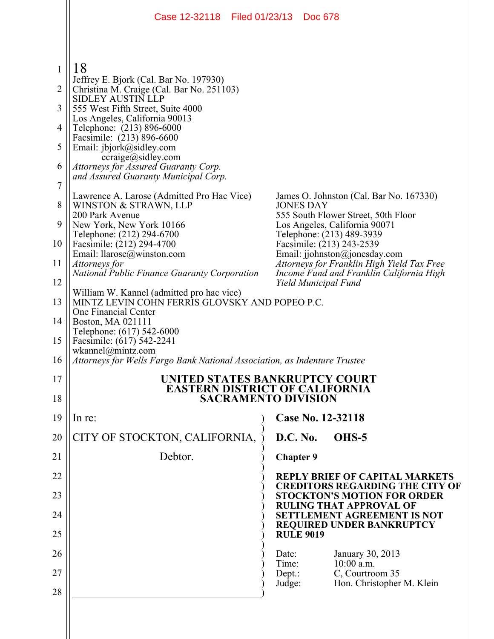|                | Case 12-32118   Filed 01/23/13                                                                                      |                  | Doc 678 |                                                                                 |  |  |
|----------------|---------------------------------------------------------------------------------------------------------------------|------------------|---------|---------------------------------------------------------------------------------|--|--|
|                |                                                                                                                     |                  |         |                                                                                 |  |  |
| 1              | 18<br>Jeffrey E. Bjork (Cal. Bar No. 197930)                                                                        |                  |         |                                                                                 |  |  |
| 2              | Christina M. Craige (Cal. Bar No. 251103)<br><b>SIDLEY AUSTIN LLP</b>                                               |                  |         |                                                                                 |  |  |
| 3              | 555 West Fifth Street, Suite 4000                                                                                   |                  |         |                                                                                 |  |  |
| 4              | Los Angeles, California 90013<br>Telephone: (213) 896-6000                                                          |                  |         |                                                                                 |  |  |
| 5              | Facsimile: (213) 896-6600<br>Email: jbjork@sidley.com                                                               |                  |         |                                                                                 |  |  |
| 6              | ccraige@sidley.com<br>Attorneys for Assured Guaranty Corp.                                                          |                  |         |                                                                                 |  |  |
| $\overline{7}$ | and Assured Guaranty Municipal Corp.                                                                                |                  |         |                                                                                 |  |  |
| 8              | Lawrence A. Larose (Admitted Pro Hac Vice)<br>WINSTON & STRAWN, LLP                                                 | <b>JONES DAY</b> |         | James O. Johnston (Cal. Bar No. 167330)                                         |  |  |
| 9              | 200 Park Avenue<br>New York, New York 10166                                                                         |                  |         | 555 South Flower Street, 50th Floor<br>Los Angeles, California 90071            |  |  |
| 10             | Telephone: (212) 294-6700<br>Facsimile: (212) 294-4700                                                              |                  |         | Telephone: (213) 489-3939<br>Facsimile: (213) 243-2539                          |  |  |
| 11             | Email: $llarose(\omega)$ winston.com<br>Attorneys for                                                               |                  |         | Email: jjohnston@jonesday.com<br>Attorneys for Franklin High Yield Tax Free     |  |  |
| 12             | <b>National Public Finance Guaranty Corporation</b>                                                                 |                  |         | Income Fund and Franklin California High                                        |  |  |
| 13             | Yield Municipal Fund<br>William W. Kannel (admitted pro hac vice)<br>MINTZ LEVIN COHN FERRIS GLOVSKY AND POPEO P.C. |                  |         |                                                                                 |  |  |
| 14             | One Financial Center<br>Boston, MA 021111                                                                           |                  |         |                                                                                 |  |  |
| 15             | Telephone: (617) 542-6000<br>Facsimile: (617) 542-2241                                                              |                  |         |                                                                                 |  |  |
| 16             | $w$ kannel@mintz.com                                                                                                |                  |         |                                                                                 |  |  |
|                | Attorneys for Wells Fargo Bank National Association, as Indenture Trustee                                           |                  |         |                                                                                 |  |  |
| 17             | UNITED STATES BANKRUPTCY COURT<br><b>EASTERN DISTRICT OF CALIFORNIA</b>                                             |                  |         |                                                                                 |  |  |
| 18             | <b>SACRAMENTO DIVISION</b>                                                                                          |                  |         |                                                                                 |  |  |
| 19             | In re:                                                                                                              |                  |         | Case No. 12-32118                                                               |  |  |
| 20             | CITY OF STOCKTON, CALIFORNIA,                                                                                       | D.C. No.         |         | OHS-5                                                                           |  |  |
| 21             | Debtor.                                                                                                             | <b>Chapter 9</b> |         |                                                                                 |  |  |
| 22             |                                                                                                                     |                  |         | <b>REPLY BRIEF OF CAPITAL MARKETS</b><br><b>CREDITORS REGARDING THE CITY OF</b> |  |  |
| 23             |                                                                                                                     |                  |         | <b>STOCKTON'S MOTION FOR ORDER</b><br><b>RULING THAT APPROVAL OF</b>            |  |  |
| 24             |                                                                                                                     |                  |         | <b>SETTLEMENT AGREEMENT IS NOT</b><br><b>REQUIRED UNDER BANKRUPTCY</b>          |  |  |
| 25             |                                                                                                                     | <b>RULE 9019</b> |         |                                                                                 |  |  |
| 26             |                                                                                                                     | Date:<br>Time:   |         | January 30, 2013<br>$10:00$ a.m.                                                |  |  |
| 27             |                                                                                                                     | Dept.:<br>Judge: |         | C, Courtroom 35<br>Hon. Christopher M. Klein                                    |  |  |
| 28             |                                                                                                                     |                  |         |                                                                                 |  |  |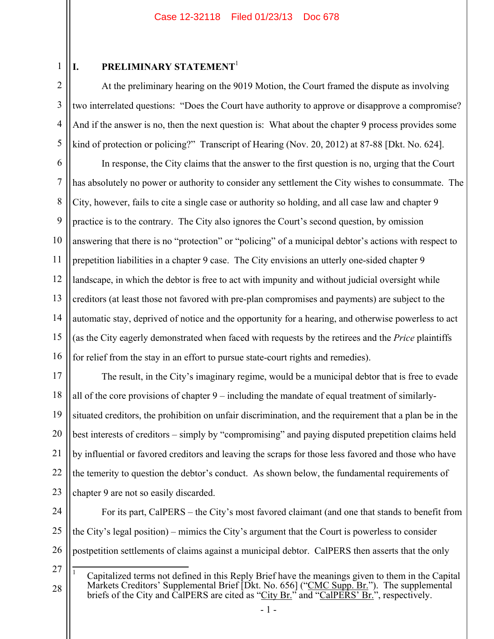1 2

3

4

5

# **I. PRELIMINARY STATEMENT**<sup>1</sup>

At the preliminary hearing on the 9019 Motion, the Court framed the dispute as involving two interrelated questions: "Does the Court have authority to approve or disapprove a compromise? And if the answer is no, then the next question is: What about the chapter 9 process provides some kind of protection or policing?" Transcript of Hearing (Nov. 20, 2012) at 87-88 [Dkt. No. 624].

6 7 8 9 10 11 12 13 14 15 16 In response, the City claims that the answer to the first question is no, urging that the Court has absolutely no power or authority to consider any settlement the City wishes to consummate. The City, however, fails to cite a single case or authority so holding, and all case law and chapter 9 practice is to the contrary. The City also ignores the Court's second question, by omission answering that there is no "protection" or "policing" of a municipal debtor's actions with respect to prepetition liabilities in a chapter 9 case. The City envisions an utterly one-sided chapter 9 landscape, in which the debtor is free to act with impunity and without judicial oversight while creditors (at least those not favored with pre-plan compromises and payments) are subject to the automatic stay, deprived of notice and the opportunity for a hearing, and otherwise powerless to act (as the City eagerly demonstrated when faced with requests by the retirees and the *Price* plaintiffs for relief from the stay in an effort to pursue state-court rights and remedies).

17 18 19 20 21 22 23 The result, in the City's imaginary regime, would be a municipal debtor that is free to evade all of the core provisions of chapter 9 – including the mandate of equal treatment of similarlysituated creditors, the prohibition on unfair discrimination, and the requirement that a plan be in the best interests of creditors – simply by "compromising" and paying disputed prepetition claims held by influential or favored creditors and leaving the scraps for those less favored and those who have the temerity to question the debtor's conduct. As shown below, the fundamental requirements of chapter 9 are not so easily discarded.

24 25 26 For its part, CalPERS – the City's most favored claimant (and one that stands to benefit from the City's legal position) – mimics the City's argument that the Court is powerless to consider postpetition settlements of claims against a municipal debtor. CalPERS then asserts that the only

27

 $\overline{a}$ 

<sup>28</sup> 1 Capitalized terms not defined in this Reply Brief have the meanings given to them in the Capital Markets Creditors' Supplemental Brief [Dkt. No. 656] ("CMC Supp. Br."). The supplemental briefs of the City and CalPERS are cited as "City Br." and "CalPERS' Br.", respectively.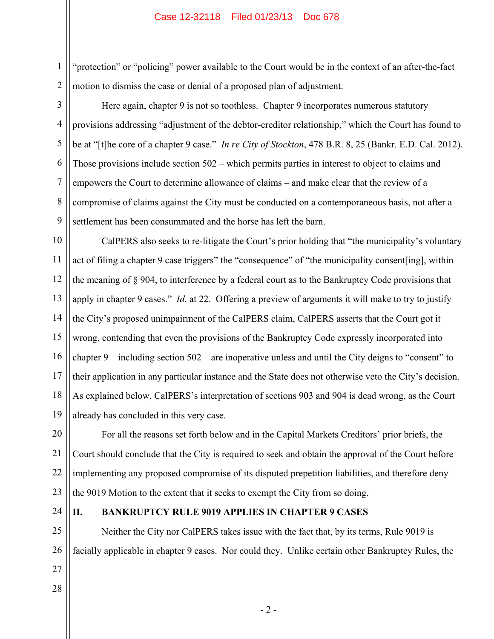"protection" or "policing" power available to the Court would be in the context of an after-the-fact motion to dismiss the case or denial of a proposed plan of adjustment.

Here again, chapter 9 is not so toothless. Chapter 9 incorporates numerous statutory provisions addressing "adjustment of the debtor-creditor relationship," which the Court has found to be at "[t]he core of a chapter 9 case." *In re City of Stockton*, 478 B.R. 8, 25 (Bankr. E.D. Cal. 2012). Those provisions include section 502 – which permits parties in interest to object to claims and empowers the Court to determine allowance of claims – and make clear that the review of a compromise of claims against the City must be conducted on a contemporaneous basis, not after a settlement has been consummated and the horse has left the barn.

10 11 12 13 14 15 16 17 18 19 CalPERS also seeks to re-litigate the Court's prior holding that "the municipality's voluntary act of filing a chapter 9 case triggers" the "consequence" of "the municipality consent[ing], within the meaning of § 904, to interference by a federal court as to the Bankruptcy Code provisions that apply in chapter 9 cases." *Id.* at 22. Offering a preview of arguments it will make to try to justify the City's proposed unimpairment of the CalPERS claim, CalPERS asserts that the Court got it wrong, contending that even the provisions of the Bankruptcy Code expressly incorporated into chapter 9 – including section 502 – are inoperative unless and until the City deigns to "consent" to their application in any particular instance and the State does not otherwise veto the City's decision. As explained below, CalPERS's interpretation of sections 903 and 904 is dead wrong, as the Court already has concluded in this very case.

20 21 22 23 For all the reasons set forth below and in the Capital Markets Creditors' prior briefs, the Court should conclude that the City is required to seek and obtain the approval of the Court before implementing any proposed compromise of its disputed prepetition liabilities, and therefore deny the 9019 Motion to the extent that it seeks to exempt the City from so doing.

24

1

2

3

4

5

6

7

8

9

## **II. BANKRUPTCY RULE 9019 APPLIES IN CHAPTER 9 CASES**

25 26 Neither the City nor CalPERS takes issue with the fact that, by its terms, Rule 9019 is facially applicable in chapter 9 cases. Nor could they. Unlike certain other Bankruptcy Rules, the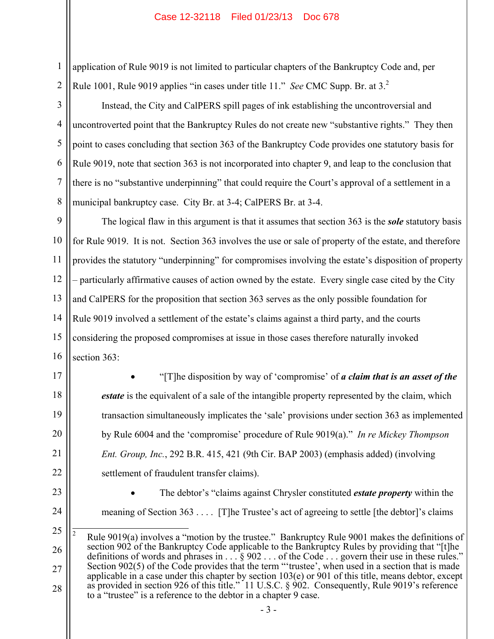application of Rule 9019 is not limited to particular chapters of the Bankruptcy Code and, per Rule 1001, Rule 9019 applies "in cases under title 11." *See* CMC Supp. Br. at 3.2

Instead, the City and CalPERS spill pages of ink establishing the uncontroversial and uncontroverted point that the Bankruptcy Rules do not create new "substantive rights." They then point to cases concluding that section 363 of the Bankruptcy Code provides one statutory basis for Rule 9019, note that section 363 is not incorporated into chapter 9, and leap to the conclusion that there is no "substantive underpinning" that could require the Court's approval of a settlement in a municipal bankruptcy case. City Br. at 3-4; CalPERS Br. at 3-4.

9 10 11 12 13 14 15 16 The logical flaw in this argument is that it assumes that section 363 is the *sole* statutory basis for Rule 9019. It is not. Section 363 involves the use or sale of property of the estate, and therefore provides the statutory "underpinning" for compromises involving the estate's disposition of property – particularly affirmative causes of action owned by the estate. Every single case cited by the City and CalPERS for the proposition that section 363 serves as the only possible foundation for Rule 9019 involved a settlement of the estate's claims against a third party, and the courts considering the proposed compromises at issue in those cases therefore naturally invoked section 363:

17 18

19

20

21

1

2

3

4

5

6

7

8

 "[T]he disposition by way of 'compromise' of *a claim that is an asset of the estate* is the equivalent of a sale of the intangible property represented by the claim, which transaction simultaneously implicates the 'sale' provisions under section 363 as implemented by Rule 6004 and the 'compromise' procedure of Rule 9019(a)." *In re Mickey Thompson Ent. Group, Inc.*, 292 B.R. 415, 421 (9th Cir. BAP 2003) (emphasis added) (involving settlement of fraudulent transfer claims).

23

24

22

 The debtor's "claims against Chrysler constituted *estate property* within the meaning of Section 363 . . . . [T]he Trustee's act of agreeing to settle [the debtor]'s claims

<sup>25</sup> 26 27 28  $\frac{1}{2}$  Rule 9019(a) involves a "motion by the trustee." Bankruptcy Rule 9001 makes the definitions of section 902 of the Bankruptcy Code applicable to the Bankruptcy Rules by providing that "[t]he definitions of words and phrases in . . . § 902 . . . of the Code . . . govern their use in these rules." Section 902(5) of the Code provides that the term "'trustee', when used in a section that is made applicable in a case under this chapter by section 103(e) or 901 of this title, means debtor, except as provided in section 926 of this title." 11 U.S.C. § 902. Consequently, Rule 9019's reference to a "trustee" is a reference to the debtor in a chapter 9 case.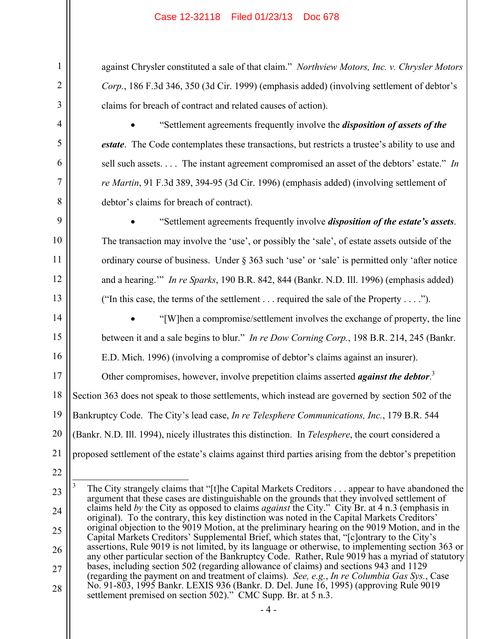against Chrysler constituted a sale of that claim." *Northview Motors, Inc. v. Chrysler Motors Corp.*, 186 F.3d 346, 350 (3d Cir. 1999) (emphasis added) (involving settlement of debtor's claims for breach of contract and related causes of action).

 "Settlement agreements frequently involve the *disposition of assets of the estate*. The Code contemplates these transactions, but restricts a trustee's ability to use and sell such assets. . . . The instant agreement compromised an asset of the debtors' estate." *In re Martin*, 91 F.3d 389, 394-95 (3d Cir. 1996) (emphasis added) (involving settlement of debtor's claims for breach of contract).

 "Settlement agreements frequently involve *disposition of the estate's assets*. The transaction may involve the 'use', or possibly the 'sale', of estate assets outside of the ordinary course of business. Under § 363 such 'use' or 'sale' is permitted only 'after notice and a hearing.'" *In re Sparks*, 190 B.R. 842, 844 (Bankr. N.D. Ill. 1996) (emphasis added) ("In this case, the terms of the settlement . . . required the sale of the Property . . . .").

14

15

16

1

2

3

4

5

6

7

8

9

10

11

12

13

 "[W]hen a compromise/settlement involves the exchange of property, the line between it and a sale begins to blur." *In re Dow Corning Corp.*, 198 B.R. 214, 245 (Bankr. E.D. Mich. 1996) (involving a compromise of debtor's claims against an insurer).

17 18 19 20 21 Other compromises, however, involve prepetition claims asserted *against the debtor*. 3 Section 363 does not speak to those settlements, which instead are governed by section 502 of the Bankruptcy Code. The City's lead case, *In re Telesphere Communications, Inc.*, 179 B.R. 544 (Bankr. N.D. Ill. 1994), nicely illustrates this distinction. In *Telesphere*, the court considered a proposed settlement of the estate's claims against third parties arising from the debtor's prepetition

22

 $\overline{a}$ 

- 
- 

23 24 25 26 27 28 3 The City strangely claims that "[t]he Capital Markets Creditors . . . appear to have abandoned the argument that these cases are distinguishable on the grounds that they involved settlement of claims held *by* the City as opposed to claims *against* the City." City Br. at 4 n.3 (emphasis in original). To the contrary, this key distinction was noted in the Capital Markets Creditors' original objection to the 9019 Motion, at the preliminary hearing on the 9019 Motion, and in the Capital Markets Creditors' Supplemental Brief, which states that, "[c]ontrary to the City's assertions, Rule 9019 is not limited, by its language or otherwise, to implementing section 363 or any other particular section of the Bankruptcy Code. Rather, Rule 9019 has a myriad of statutory bases, including section 502 (regarding allowance of claims) and sections 943 and 1129 (regarding the payment on and treatment of claims). *See, e.g.*, *In re Columbia Gas Sys.*, Case No. 91-803, 1995 Bankr. LEXIS 936 (Bankr. D. Del. June 16, 1995) (approving Rule 9019 settlement premised on section 502)." CMC Supp. Br. at  $5 \text{ n}.\overline{3}$ .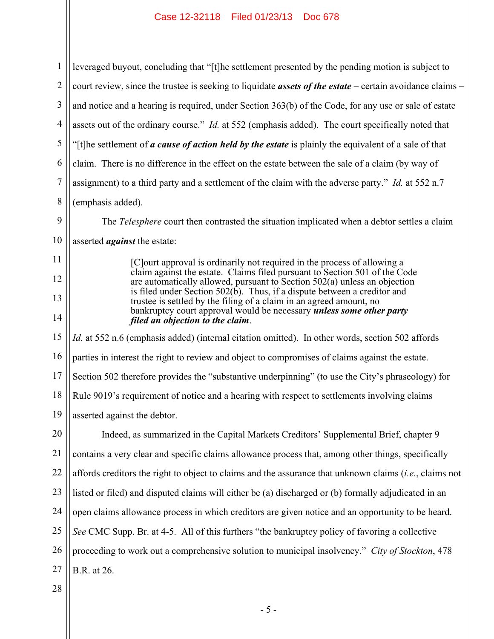1 2 3 4 5 6 7 8 leveraged buyout, concluding that "[t]he settlement presented by the pending motion is subject to court review, since the trustee is seeking to liquidate *assets of the estate* – certain avoidance claims – and notice and a hearing is required, under Section 363(b) of the Code, for any use or sale of estate assets out of the ordinary course." *Id.* at 552 (emphasis added). The court specifically noted that "[t]he settlement of *a cause of action held by the estate* is plainly the equivalent of a sale of that claim. There is no difference in the effect on the estate between the sale of a claim (by way of assignment) to a third party and a settlement of the claim with the adverse party." *Id.* at 552 n.7 (emphasis added).

The *Telesphere* court then contrasted the situation implicated when a debtor settles a claim asserted *against* the estate:

> [C]ourt approval is ordinarily not required in the process of allowing a claim against the estate. Claims filed pursuant to Section 501 of the Code are automatically allowed, pursuant to Section 502(a) unless an objection is filed under Section 502(b). Thus, if a dispute between a creditor and trustee is settled by the filing of a claim in an agreed amount, no bankruptcy court approval would be necessary *unless some other party filed an objection to the claim*.

15 16 17 18 19 *Id.* at 552 n.6 (emphasis added) (internal citation omitted). In other words, section 502 affords parties in interest the right to review and object to compromises of claims against the estate. Section 502 therefore provides the "substantive underpinning" (to use the City's phraseology) for Rule 9019's requirement of notice and a hearing with respect to settlements involving claims asserted against the debtor.

20 21 22 23 24 25 26 27 Indeed, as summarized in the Capital Markets Creditors' Supplemental Brief, chapter 9 contains a very clear and specific claims allowance process that, among other things, specifically affords creditors the right to object to claims and the assurance that unknown claims (*i.e.*, claims not listed or filed) and disputed claims will either be (a) discharged or (b) formally adjudicated in an open claims allowance process in which creditors are given notice and an opportunity to be heard. *See* CMC Supp. Br. at 4-5. All of this furthers "the bankruptcy policy of favoring a collective proceeding to work out a comprehensive solution to municipal insolvency." *City of Stockton*, 478 B.R. at 26.

28

9

10

11

12

13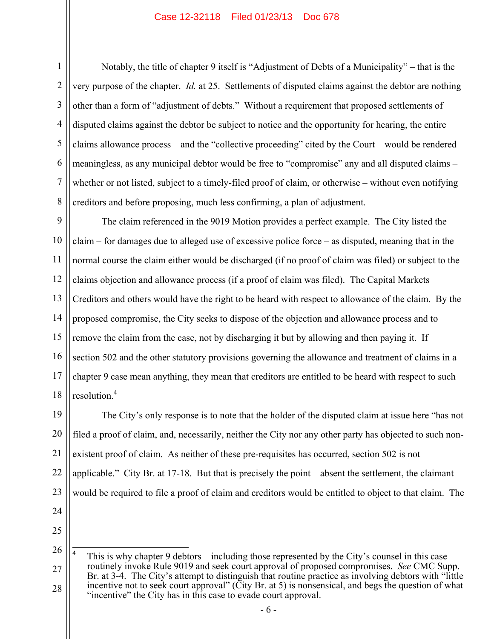1

Notably, the title of chapter 9 itself is "Adjustment of Debts of a Municipality" – that is the very purpose of the chapter. *Id.* at 25. Settlements of disputed claims against the debtor are nothing other than a form of "adjustment of debts." Without a requirement that proposed settlements of disputed claims against the debtor be subject to notice and the opportunity for hearing, the entire claims allowance process – and the "collective proceeding" cited by the Court – would be rendered meaningless, as any municipal debtor would be free to "compromise" any and all disputed claims – whether or not listed, subject to a timely-filed proof of claim, or otherwise – without even notifying creditors and before proposing, much less confirming, a plan of adjustment.

9 The claim referenced in the 9019 Motion provides a perfect example. The City listed the claim – for damages due to alleged use of excessive police force – as disputed, meaning that in the normal course the claim either would be discharged (if no proof of claim was filed) or subject to the claims objection and allowance process (if a proof of claim was filed). The Capital Markets Creditors and others would have the right to be heard with respect to allowance of the claim. By the proposed compromise, the City seeks to dispose of the objection and allowance process and to remove the claim from the case, not by discharging it but by allowing and then paying it. If section 502 and the other statutory provisions governing the allowance and treatment of claims in a chapter 9 case mean anything, they mean that creditors are entitled to be heard with respect to such resolution.<sup>4</sup>

21 22 23 24 The City's only response is to note that the holder of the disputed claim at issue here "has not filed a proof of claim, and, necessarily, neither the City nor any other party has objected to such nonexistent proof of claim. As neither of these pre-requisites has occurred, section 502 is not applicable." City Br. at 17-18. But that is precisely the point – absent the settlement, the claimant would be required to file a proof of claim and creditors would be entitled to object to that claim. The

<sup>26</sup> 27 28 4 This is why chapter 9 debtors – including those represented by the City's counsel in this case – routinely invoke Rule 9019 and seek court approval of proposed compromises. *See* CMC Supp. Br. at 3-4. The City's attempt to distinguish that routine practice as involving debtors with "little incentive not to seek court approval" (City Br. at 5) is nonsensical, and begs the question of what "incentive" the City has in this case to evade court approval.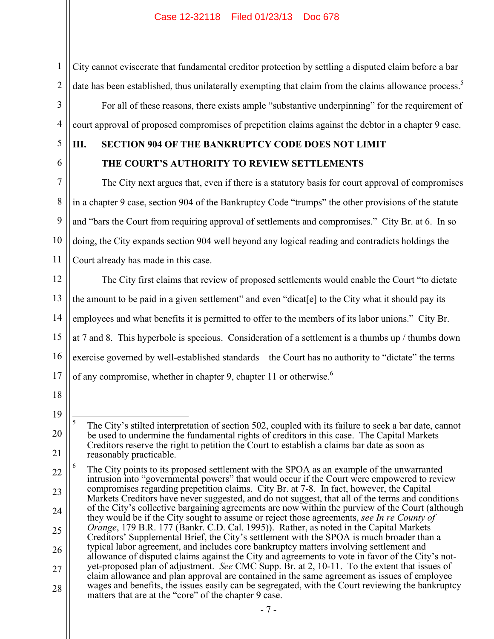City cannot eviscerate that fundamental creditor protection by settling a disputed claim before a bar date has been established, thus unilaterally exempting that claim from the claims allowance process.<sup>5</sup>

For all of these reasons, there exists ample "substantive underpinning" for the requirement of court approval of proposed compromises of prepetition claims against the debtor in a chapter 9 case.

5

6

7

8

9

10

11

1

2

3

4

# **III. SECTION 904 OF THE BANKRUPTCY CODE DOES NOT LIMIT THE COURT'S AUTHORITY TO REVIEW SETTLEMENTS**

The City next argues that, even if there is a statutory basis for court approval of compromises in a chapter 9 case, section 904 of the Bankruptcy Code "trumps" the other provisions of the statute and "bars the Court from requiring approval of settlements and compromises." City Br. at 6. In so doing, the City expands section 904 well beyond any logical reading and contradicts holdings the Court already has made in this case.

12 13 14 15 16 17 The City first claims that review of proposed settlements would enable the Court "to dictate the amount to be paid in a given settlement" and even "dicat[e] to the City what it should pay its employees and what benefits it is permitted to offer to the members of its labor unions." City Br. at 7 and 8. This hyperbole is specious. Consideration of a settlement is a thumbs up / thumbs down exercise governed by well-established standards – the Court has no authority to "dictate" the terms of any compromise, whether in chapter 9, chapter 11 or otherwise.<sup>6</sup>

- 18
- 19

<sup>20</sup> 21  $\overline{a}$ 5 The City's stilted interpretation of section 502, coupled with its failure to seek a bar date, cannot be used to undermine the fundamental rights of creditors in this case. The Capital Markets Creditors reserve the right to petition the Court to establish a claims bar date as soon as reasonably practicable.

<sup>22</sup> 23 24 25 26 27 28 6 The City points to its proposed settlement with the SPOA as an example of the unwarranted intrusion into "governmental powers" that would occur if the Court were empowered to review compromises regarding prepetition claims. City Br. at 7-8. In fact, however, the Capital Markets Creditors have never suggested, and do not suggest, that all of the terms and conditions of the City's collective bargaining agreements are now within the purview of the Court (although they would be if the City sought to assume or reject those agreements, *see In re County of Orange*, 179 B.R. 177 (Bankr. C.D. Cal. 1995)). Rather, as noted in the Capital Markets Creditors' Supplemental Brief, the City's settlement with the SPOA is much broader than a typical labor agreement, and includes core bankruptcy matters involving settlement and allowance of disputed claims against the City and agreements to vote in favor of the City's notyet-proposed plan of adjustment. *See* CMC Supp. Br. at 2, 10-11. To the extent that issues of claim allowance and plan approval are contained in the same agreement as issues of employee wages and benefits, the issues easily can be segregated, with the Court reviewing the bankruptcy matters that are at the "core" of the chapter 9 case.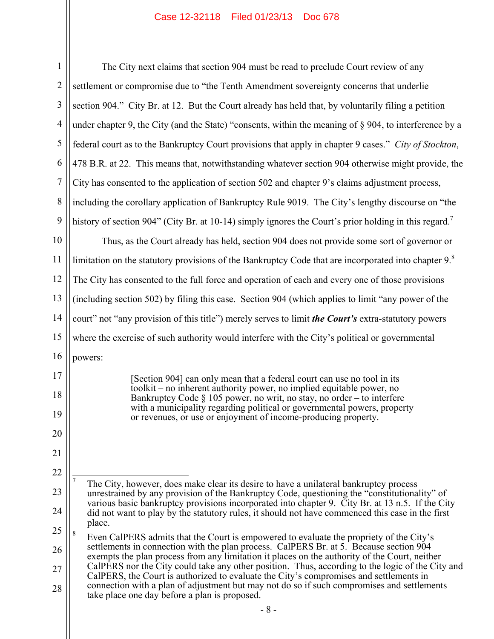| $\mathbf{1}$   | The City next claims that section 904 must be read to preclude Court review of any                                                                                                      |
|----------------|-----------------------------------------------------------------------------------------------------------------------------------------------------------------------------------------|
| $\overline{2}$ | settlement or compromise due to "the Tenth Amendment sovereignty concerns that underlie                                                                                                 |
| 3              | section 904." City Br. at 12. But the Court already has held that, by voluntarily filing a pet                                                                                          |
| 4              | under chapter 9, the City (and the State) "consents, within the meaning of $\S$ 904, to interfere                                                                                       |
| 5              | federal court as to the Bankruptcy Court provisions that apply in chapter 9 cases." City of S                                                                                           |
| 6              | 478 B.R. at 22. This means that, notwithstanding whatever section 904 otherwise might pro                                                                                               |
| $\overline{7}$ | City has consented to the application of section 502 and chapter 9's claims adjustment proc                                                                                             |
| 8              | including the corollary application of Bankruptcy Rule 9019. The City's lengthy discourse                                                                                               |
| 9              | history of section 904" (City Br. at 10-14) simply ignores the Court's prior holding in this r                                                                                          |
| 10             | Thus, as the Court already has held, section 904 does not provide some sort of gove                                                                                                     |
| 11             | limitation on the statutory provisions of the Bankruptcy Code that are incorporated into cha                                                                                            |
| 12             | The City has consented to the full force and operation of each and every one of those provis                                                                                            |
| 13             | (including section 502) by filing this case. Section 904 (which applies to limit "any power                                                                                             |
| 14             | court" not "any provision of this title") merely serves to limit the Court's extra-statutory po                                                                                         |
| 15             | where the exercise of such authority would interfere with the City's political or government                                                                                            |
| 16             | powers:                                                                                                                                                                                 |
| 17             | [Section 904] can only mean that a federal court can use no tool in its                                                                                                                 |
| 18             | toolkit – no inherent authority power, no implied equitable power, no<br>Bankruptcy Code $\S$ 105 power, no writ, no stay, no order – to interfere                                      |
| 19             | with a municipality regarding political or governmental powers, property<br>or revenues, or use or enjoyment of income-producing property.                                              |
| 20             |                                                                                                                                                                                         |
| 21             |                                                                                                                                                                                         |
| 22             | $\overline{7}$                                                                                                                                                                          |
| 23             | The City, however, does make clear its desire to have a unilateral bankruptcy process<br>unrestrained by any provision of the Bankruptcy Code, questioning the "constitutionality"      |
| 24             | various basic bankruptcy provisions incorporated into chapter 9. City Br. at 13 n.5. If t<br>did not want to play by the statutory rules, it should not have commenced this case in the |
| 25             | place.<br>$\,$ 8 $\,$<br>Even CalPERS admits that the Court is empowered to evaluate the propriety of the City                                                                          |
| 26             | settlements in connection with the plan process. CalPERS Br. at 5. Because section 90<br>exempts the plan process from any limitation it places on the authority of the Court, nei      |
| 27             | CalPERS nor the City could take any other position. Thus, according to the logic of the<br>CalPERS, the Court is authorized to evaluate the City's compromises and settlements in       |
| 28             | connection with a plan of adjustment but may not do so if such compromises and settler<br>take place one day before a plan is proposed.                                                 |

e due to "the Tenth Amendment sovereignty concerns that underlie 12. But the Court already has held that, by voluntarily filing a petition (and the State) "consents, within the meaning of  $\S$  904, to interference by a federal court above the Bankruptcy Court provisions that apply in chapter 9 cases." *City of Stockton*, ns that, notwithstanding whatever section 904 otherwise might provide, the application of section 502 and chapter 9's claims adjustment process, plication of Bankruptcy Rule 9019. The City's lengthy discourse on "the history of section 904" (City Br. at 10-14) simply ignores the Court's prior holding in this regard.<sup>7</sup> already has held, section 904 does not provide some sort of governor or limitation on the statutory provisions of the Bankruptcy Code that are incorporated into chapter  $9<sup>8</sup>$ o the full force and operation of each and every one of those provisions y filing this case. Section 904 (which applies to limit "any power of the

15 of this title") merely serves to limit *the Court's* extra-statutory powers h authority would interfere with the City's political or governmental

bes make clear its desire to have a unilateral bankruptcy process rovision of the Bankruptcy Code, questioning the "constitutionality" of tcy provisions incorporated into chapter 9. City Br. at 13 n.5. If the City by the statutory rules, it should not have commenced this case in the first

<sup>26</sup> 27 28 s that the Court is empowered to evaluate the propriety of the City's tion with the plan process. CalPERS Br. at 5. Because section  $904$ ess from any limitation it places on the authority of the Court, neither could take any other position. Thus, according to the logic of the City and s authorized to evaluate the City's compromises and settlements in n of adjustment but may not do so if such compromises and settlements fore a plan is proposed.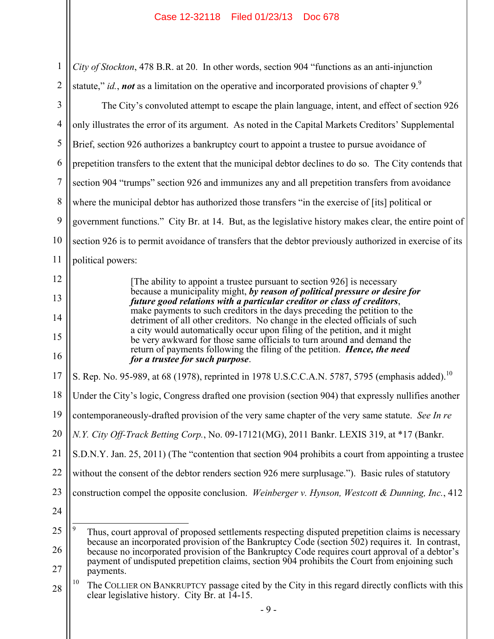1 2 *City of Stockton*, 478 B.R. at 20. In other words, section 904 "functions as an anti-injunction statute," *id.*, *not* as a limitation on the operative and incorporated provisions of chapter 9.

3 4 5 6 7 8 9 10 11 The City's convoluted attempt to escape the plain language, intent, and effect of section 926 only illustrates the error of its argument. As noted in the Capital Markets Creditors' Supplemental Brief, section 926 authorizes a bankruptcy court to appoint a trustee to pursue avoidance of prepetition transfers to the extent that the municipal debtor declines to do so. The City contends that section 904 "trumps" section 926 and immunizes any and all prepetition transfers from avoidance where the municipal debtor has authorized those transfers "in the exercise of [its] political or government functions." City Br. at 14. But, as the legislative history makes clear, the entire point of section 926 is to permit avoidance of transfers that the debtor previously authorized in exercise of its political powers:

> [The ability to appoint a trustee pursuant to section 926] is necessary because a municipality might, *by reason of political pressure or desire for future good relations with a particular creditor or class of creditors*, make payments to such creditors in the days preceding the petition to the detriment of all other creditors. No change in the elected officials of such a city would automatically occur upon filing of the petition, and it might be very awkward for those same officials to turn around and demand the return of payments following the filing of the petition. *Hence, the need for a trustee for such purpose*.

17 S. Rep. No. 95-989, at 68 (1978), reprinted in 1978 U.S.C.C.A.N. 5787, 5795 (emphasis added).<sup>10</sup>

18 Under the City's logic, Congress drafted one provision (section 904) that expressly nullifies another

19 contemporaneously-drafted provision of the very same chapter of the very same statute. *See In re* 

20 *N.Y. City Off-Track Betting Corp.*, No. 09-17121(MG), 2011 Bankr. LEXIS 319, at \*17 (Bankr.

21 S.D.N.Y. Jan. 25, 2011) (The "contention that section 904 prohibits a court from appointing a trustee

22 without the consent of the debtor renders section 926 mere surplusage."). Basic rules of statutory

- 23 construction compel the opposite conclusion. *Weinberger v. Hynson, Westcott & Dunning, Inc.*, 412
- 24

12

13

14

15

<sup>25</sup> 26 27  $\overline{a}$ 9 Thus, court approval of proposed settlements respecting disputed prepetition claims is necessary because an incorporated provision of the Bankruptcy Code (section 502) requires it. In contrast, because no incorporated provision of the Bankruptcy Code requires court approval of a debtor's payment of undisputed prepetition claims, section 904 prohibits the Court from enjoining such payments.

<sup>28</sup> <sup>10</sup> The COLLIER ON BANKRUPTCY passage cited by the City in this regard directly conflicts with this clear legislative history. City Br. at 14-15.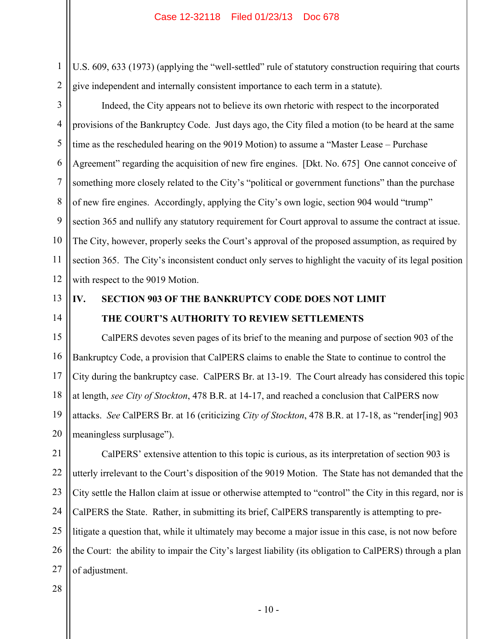U.S. 609, 633 (1973) (applying the "well-settled" rule of statutory construction requiring that courts give independent and internally consistent importance to each term in a statute).

3 4 5 6 7 8 9 10 12 Indeed, the City appears not to believe its own rhetoric with respect to the incorporated provisions of the Bankruptcy Code. Just days ago, the City filed a motion (to be heard at the same time as the rescheduled hearing on the 9019 Motion) to assume a "Master Lease – Purchase Agreement" regarding the acquisition of new fire engines. [Dkt. No. 675] One cannot conceive of something more closely related to the City's "political or government functions" than the purchase of new fire engines. Accordingly, applying the City's own logic, section 904 would "trump" section 365 and nullify any statutory requirement for Court approval to assume the contract at issue. The City, however, properly seeks the Court's approval of the proposed assumption, as required by section 365. The City's inconsistent conduct only serves to highlight the vacuity of its legal position with respect to the 9019 Motion.

13 14

11

1

2

# **IV. SECTION 903 OF THE BANKRUPTCY CODE DOES NOT LIMIT THE COURT'S AUTHORITY TO REVIEW SETTLEMENTS**

15 16 17 18 19 20 CalPERS devotes seven pages of its brief to the meaning and purpose of section 903 of the Bankruptcy Code, a provision that CalPERS claims to enable the State to continue to control the City during the bankruptcy case. CalPERS Br. at 13-19. The Court already has considered this topic at length, *see City of Stockton*, 478 B.R. at 14-17, and reached a conclusion that CalPERS now attacks. *See* CalPERS Br. at 16 (criticizing *City of Stockton*, 478 B.R. at 17-18, as "render[ing] 903 meaningless surplusage").

21 22 23 24 25 26 27 CalPERS' extensive attention to this topic is curious, as its interpretation of section 903 is utterly irrelevant to the Court's disposition of the 9019 Motion. The State has not demanded that the City settle the Hallon claim at issue or otherwise attempted to "control" the City in this regard, nor is CalPERS the State. Rather, in submitting its brief, CalPERS transparently is attempting to prelitigate a question that, while it ultimately may become a major issue in this case, is not now before the Court: the ability to impair the City's largest liability (its obligation to CalPERS) through a plan of adjustment.

#### 28

- 10 -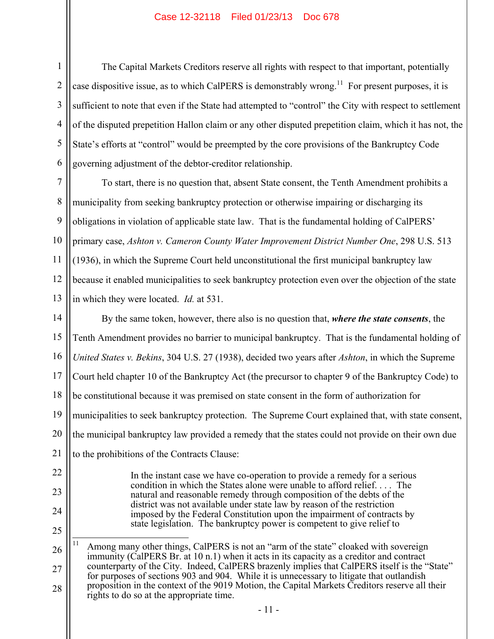1

2

3

4

5

6

22

23

24

25

The Capital Markets Creditors reserve all rights with respect to that important, potentially case dispositive issue, as to which CalPERS is demonstrably wrong.<sup>11</sup> For present purposes, it is sufficient to note that even if the State had attempted to "control" the City with respect to settlement of the disputed prepetition Hallon claim or any other disputed prepetition claim, which it has not, the State's efforts at "control" would be preempted by the core provisions of the Bankruptcy Code governing adjustment of the debtor-creditor relationship.

7 8 9 10 11 12 13 To start, there is no question that, absent State consent, the Tenth Amendment prohibits a municipality from seeking bankruptcy protection or otherwise impairing or discharging its obligations in violation of applicable state law. That is the fundamental holding of CalPERS' primary case, *Ashton v. Cameron County Water Improvement District Number One*, 298 U.S. 513 (1936), in which the Supreme Court held unconstitutional the first municipal bankruptcy law because it enabled municipalities to seek bankruptcy protection even over the objection of the state in which they were located. *Id.* at 531.

14 15 16 17 18 19 20 21 By the same token, however, there also is no question that, *where the state consents*, the Tenth Amendment provides no barrier to municipal bankruptcy. That is the fundamental holding of *United States v. Bekins*, 304 U.S. 27 (1938), decided two years after *Ashton*, in which the Supreme Court held chapter 10 of the Bankruptcy Act (the precursor to chapter 9 of the Bankruptcy Code) to be constitutional because it was premised on state consent in the form of authorization for municipalities to seek bankruptcy protection. The Supreme Court explained that, with state consent, the municipal bankruptcy law provided a remedy that the states could not provide on their own due to the prohibitions of the Contracts Clause:

> In the instant case we have co-operation to provide a remedy for a serious condition in which the States alone were unable to afford relief. . . . The natural and reasonable remedy through composition of the debts of the district was not available under state law by reason of the restriction imposed by the Federal Constitution upon the impairment of contracts by state legislation. The bankruptcy power is competent to give relief to

<sup>26</sup> 27 28  $11$ Among many other things, CalPERS is not an "arm of the state" cloaked with sovereign immunity (CalPERS Br. at 10 n.1) when it acts in its capacity as a creditor and contract counterparty of the City. Indeed, CalPERS brazenly implies that CalPERS itself is the "State" for purposes of sections 903 and 904. While it is unnecessary to litigate that outlandish proposition in the context of the 9019 Motion, the Capital Markets Creditors reserve all their rights to do so at the appropriate time.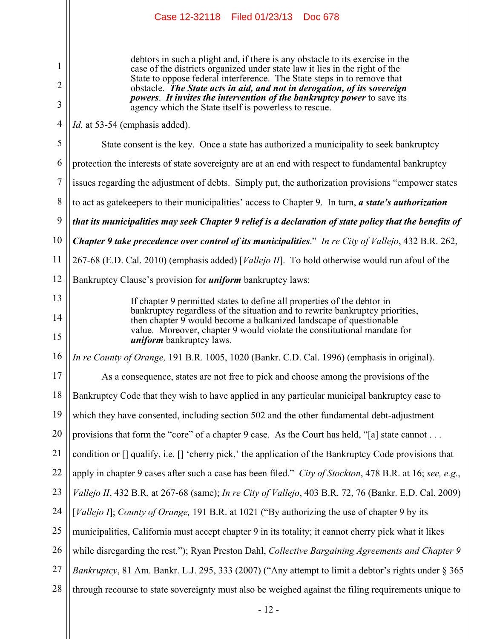|                | Case 12-32118 Filed 01/23/13 Doc 678                                                                                                                                             |
|----------------|----------------------------------------------------------------------------------------------------------------------------------------------------------------------------------|
|                |                                                                                                                                                                                  |
| 1              | debtors in such a plight and, if there is any obstacle to its exercise in the<br>case of the districts organized under state law it lies in the right of the                     |
| $\overline{2}$ | State to oppose federal interference. The State steps in to remove that<br>obstacle. The State acts in aid, and not in derogation, of its sovereign                              |
| 3              | <i>powers. It invites the intervention of the bankruptcy power to save its</i><br>agency which the State itself is powerless to rescue.                                          |
| $\overline{4}$ | <i>Id.</i> at 53-54 (emphasis added).                                                                                                                                            |
| 5              | State consent is the key. Once a state has authorized a municipality to seek bankruptcy                                                                                          |
| 6              | protection the interests of state sovereignty are at an end with respect to fundamental bankruptcy                                                                               |
| $\overline{7}$ | issues regarding the adjustment of debts. Simply put, the authorization provisions "empower states"                                                                              |
| $\,8\,$        | to act as gatekeepers to their municipalities' access to Chapter 9. In turn, a state's authorization                                                                             |
| 9              | that its municipalities may seek Chapter 9 relief is a declaration of state policy that the benefits of                                                                          |
| 10             | <b>Chapter 9 take precedence over control of its municipalities.</b> " In re City of Vallejo, 432 B.R. 262,                                                                      |
| 11             | 267-68 (E.D. Cal. 2010) (emphasis added) [ <i>Vallejo II</i> ]. To hold otherwise would run afoul of the                                                                         |
| 12             | Bankruptcy Clause's provision for <i>uniform</i> bankruptcy laws:                                                                                                                |
| 13<br>14       | If chapter 9 permitted states to define all properties of the debtor in<br>bankruptcy regardless of the situation and to rewrite bankruptcy priorities,                          |
| 15             | then chapter 9 would become a balkanized landscape of questionable<br>value. Moreover, chapter 9 would violate the constitutional mandate for<br><i>uniform</i> bankruptcy laws. |
| 16             | In re County of Orange, 191 B.R. 1005, 1020 (Bankr. C.D. Cal. 1996) (emphasis in original).                                                                                      |
| 17             | As a consequence, states are not free to pick and choose among the provisions of the                                                                                             |
| 18             | Bankruptcy Code that they wish to have applied in any particular municipal bankruptcy case to                                                                                    |
| 19             | which they have consented, including section 502 and the other fundamental debt-adjustment                                                                                       |
| 20             | provisions that form the "core" of a chapter 9 case. As the Court has held, "[a] state cannot                                                                                    |
| 21             | condition or $\lceil$ qualify, i.e. $\lceil$ 'cherry pick,' the application of the Bankruptcy Code provisions that                                                               |
| 22             | apply in chapter 9 cases after such a case has been filed." City of Stockton, 478 B.R. at 16; see, e.g.,                                                                         |
| 23             | Vallejo II, 432 B.R. at 267-68 (same); In re City of Vallejo, 403 B.R. 72, 76 (Bankr. E.D. Cal. 2009)                                                                            |
| 24             | [Vallejo I]; County of Orange, 191 B.R. at 1021 ("By authorizing the use of chapter 9 by its                                                                                     |
| 25             | municipalities, California must accept chapter 9 in its totality; it cannot cherry pick what it likes                                                                            |
| 26             | while disregarding the rest."); Ryan Preston Dahl, Collective Bargaining Agreements and Chapter 9                                                                                |
| 27             | Bankruptcy, 81 Am. Bankr. L.J. 295, 333 (2007) ("Any attempt to limit a debtor's rights under § 365                                                                              |
| 28             | through recourse to state sovereignty must also be weighed against the filing requirements unique to                                                                             |

 $\mathsf{I}$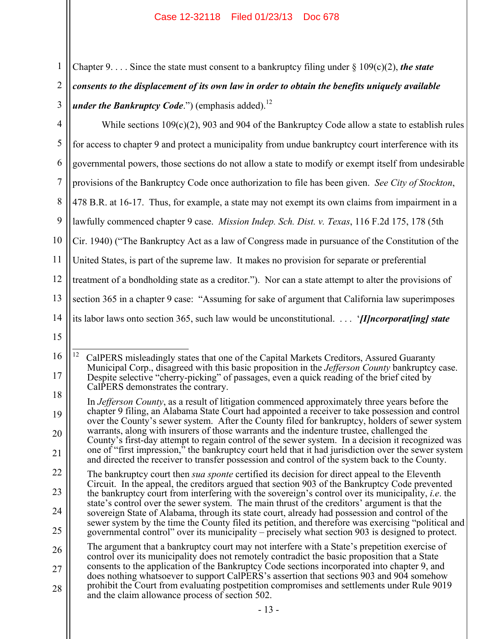| $\mathbf 1$     |
|-----------------|
| $\overline{2}$  |
| 3               |
| $\overline{4}$  |
| 5               |
| 6               |
| $\overline{7}$  |
| 8               |
| 9               |
| 10              |
| 11              |
| 12              |
| 13              |
| $\overline{14}$ |
| 15              |
| 16              |
| 17              |
| 18              |
| 19              |
| 20              |

Chapter 9. . . . Since the state must consent to a bankruptcy filing under  $\S 109(c)(2)$ , *the state consents to the displacement of its own law in order to obtain the benefits uniquely available under the Bankruptcy Code.*") (emphasis added).<sup>12</sup>

4 5 6 7 8 9 10 11 12 13 14 15 16 17 While sections  $109(c)(2)$ , 903 and 904 of the Bankruptcy Code allow a state to establish rules for access to chapter 9 and protect a municipality from undue bankruptcy court interference with its governmental powers, those sections do not allow a state to modify or exempt itself from undesirable provisions of the Bankruptcy Code once authorization to file has been given. *See City of Stockton*, 478 B.R. at 16-17. Thus, for example, a state may not exempt its own claims from impairment in a lawfully commenced chapter 9 case. *Mission Indep. Sch. Dist. v. Texas*, 116 F.2d 175, 178 (5th Cir. 1940) ("The Bankruptcy Act as a law of Congress made in pursuance of the Constitution of the United States, is part of the supreme law. It makes no provision for separate or preferential treatment of a bondholding state as a creditor."). Nor can a state attempt to alter the provisions of section 365 in a chapter 9 case: "Assuming for sake of argument that California law superimposes its labor laws onto section 365, such law would be unconstitutional. . . . '*[I]ncorporat[ing] state*   $12$ 12 CalPERS misleadingly states that one of the Capital Markets Creditors, Assured Guaranty Municipal Corp., disagreed with this basic proposition in the *Jefferson County* bankruptcy case. Despite selective "cherry-picking" of passages, even a quick reading of the brief cited by

<sup>18</sup> CalPERS demonstrates the contrary.

 $\overline{Q}$ 20 21 In *Jefferson County*, as a result of litigation commenced approximately three years before the chapter 9 filing, an Alabama State Court had appointed a receiver to take possession and control over the County's sewer system. After the County filed for bankruptcy, holders of sewer system warrants, along with insurers of those warrants and the indenture trustee, challenged the County's first-day attempt to regain control of the sewer system. In a decision it recognized was one of "first impression," the bankruptcy court held that it had jurisdiction over the sewer system and directed the receiver to transfer possession and control of the system back to the County.

<sup>22</sup> 23 24 25 The bankruptcy court then *sua sponte* certified its decision for direct appeal to the Eleventh Circuit. In the appeal, the creditors argued that section 903 of the Bankruptcy Code prevented the bankruptcy court from interfering with the sovereign's control over its municipality, *i.e*. the state's control over the sewer system. The main thrust of the creditors' argument is that the sovereign State of Alabama, through its state court, already had possession and control of the sewer system by the time the County filed its petition, and therefore was exercising "political and governmental control" over its municipality – precisely what section 903 is designed to protect.

<sup>26</sup> 27 28 The argument that a bankruptcy court may not interfere with a State's prepetition exercise of control over its municipality does not remotely contradict the basic proposition that a State consents to the application of the Bankruptcy Code sections incorporated into chapter 9, and does nothing whatsoever to support CalPERS's assertion that sections 903 and 904 somehow prohibit the Court from evaluating postpetition compromises and settlements under Rule 9019 and the claim allowance process of section 502.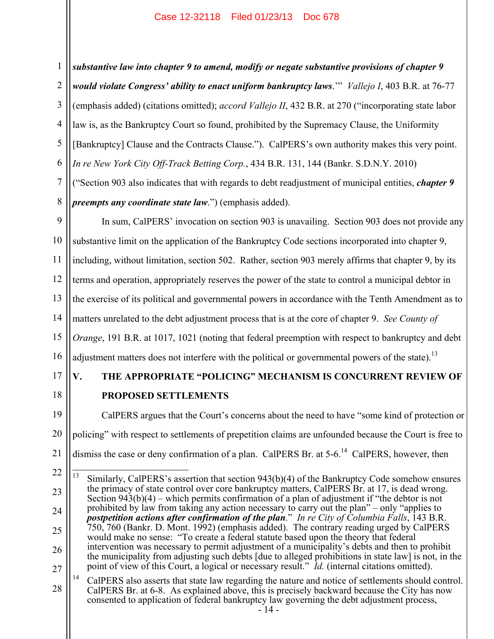1 2 3 4 5 6 *substantive law into chapter 9 to amend, modify or negate substantive provisions of chapter 9 would violate Congress' ability to enact uniform bankruptcy laws*.'" *Vallejo I*, 403 B.R. at 76-77 (emphasis added) (citations omitted); *accord Vallejo II*, 432 B.R. at 270 ("incorporating state labor law is, as the Bankruptcy Court so found, prohibited by the Supremacy Clause, the Uniformity [Bankruptcy] Clause and the Contracts Clause."). CalPERS's own authority makes this very point. *In re New York City Off-Track Betting Corp.*, 434 B.R. 131, 144 (Bankr. S.D.N.Y. 2010)

7 8 ("Section 903 also indicates that with regards to debt readjustment of municipal entities, *chapter 9 preempts any coordinate state law*.") (emphasis added).

9 10 11 12 13 14 15 16 In sum, CalPERS' invocation on section 903 is unavailing. Section 903 does not provide any substantive limit on the application of the Bankruptcy Code sections incorporated into chapter 9, including, without limitation, section 502. Rather, section 903 merely affirms that chapter 9, by its terms and operation, appropriately reserves the power of the state to control a municipal debtor in the exercise of its political and governmental powers in accordance with the Tenth Amendment as to matters unrelated to the debt adjustment process that is at the core of chapter 9. *See County of Orange*, 191 B.R. at 1017, 1021 (noting that federal preemption with respect to bankruptcy and debt adjustment matters does not interfere with the political or governmental powers of the state).<sup>13</sup>

- 
- 17
- 18

# **V. THE APPROPRIATE "POLICING" MECHANISM IS CONCURRENT REVIEW OF PROPOSED SETTLEMENTS**

19 20 21 CalPERS argues that the Court's concerns about the need to have "some kind of protection or policing" with respect to settlements of prepetition claims are unfounded because the Court is free to dismiss the case or deny confirmation of a plan. CalPERS Br. at  $5\n-6$ .<sup>14</sup> CalPERS, however, then

<sup>22</sup> 23 24 25 26 27  $\overline{13}$ Similarly, CalPERS's assertion that section 943(b)(4) of the Bankruptcy Code somehow ensures the primacy of state control over core bankruptcy matters, CalPERS Br. at 17, is dead wrong. Section  $943(b)(4)$  – which permits confirmation of a plan of adjustment if "the debtor is not prohibited by law from taking any action necessary to carry out the plan" – only "applies to *postpetition actions after confirmation of the plan*." *In re City of Columbia Falls*, 143 B.R. 750, 760 (Bankr. D. Mont. 1992) (emphasis added). The contrary reading urged by CalPERS would make no sense: "To create a federal statute based upon the theory that federal intervention was necessary to permit adjustment of a municipality's debts and then to prohibit the municipality from adjusting such debts [due to alleged prohibitions in state law] is not, in the point of view of this Court, a logical or necessary result." *Id.* (internal citations omitted).

<sup>28</sup> <sup>14</sup> CalPERS also asserts that state law regarding the nature and notice of settlements should control. CalPERS Br. at 6-8. As explained above, this is precisely backward because the City has now consented to application of federal bankruptcy law governing the debt adjustment process,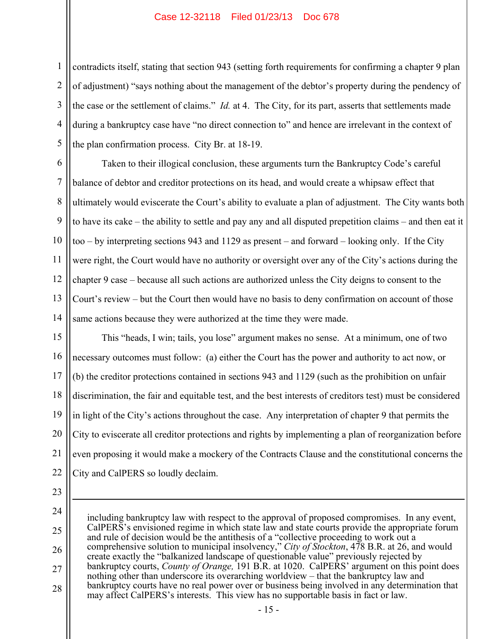1 2 3 4 5 contradicts itself, stating that section 943 (setting forth requirements for confirming a chapter 9 plan of adjustment) "says nothing about the management of the debtor's property during the pendency of the case or the settlement of claims." *Id.* at 4. The City, for its part, asserts that settlements made during a bankruptcy case have "no direct connection to" and hence are irrelevant in the context of the plan confirmation process. City Br. at 18-19.

6 7 8 9 10 11 12 13 14 Taken to their illogical conclusion, these arguments turn the Bankruptcy Code's careful balance of debtor and creditor protections on its head, and would create a whipsaw effect that ultimately would eviscerate the Court's ability to evaluate a plan of adjustment. The City wants both to have its cake – the ability to settle and pay any and all disputed prepetition claims – and then eat it too – by interpreting sections 943 and 1129 as present – and forward – looking only. If the City were right, the Court would have no authority or oversight over any of the City's actions during the chapter 9 case – because all such actions are authorized unless the City deigns to consent to the Court's review – but the Court then would have no basis to deny confirmation on account of those same actions because they were authorized at the time they were made.

15 16 17 18 19 20 21 22 This "heads, I win; tails, you lose" argument makes no sense. At a minimum, one of two necessary outcomes must follow: (a) either the Court has the power and authority to act now, or (b) the creditor protections contained in sections 943 and 1129 (such as the prohibition on unfair discrimination, the fair and equitable test, and the best interests of creditors test) must be considered in light of the City's actions throughout the case. Any interpretation of chapter 9 that permits the City to eviscerate all creditor protections and rights by implementing a plan of reorganization before even proposing it would make a mockery of the Contracts Clause and the constitutional concerns the City and CalPERS so loudly declaim.

23

 $\overline{a}$ 

24 25 26 27 28 including bankruptcy law with respect to the approval of proposed compromises. In any event, CalPERS's envisioned regime in which state law and state courts provide the appropriate forum and rule of decision would be the antithesis of a "collective proceeding to work out a comprehensive solution to municipal insolvency," *City of Stockton*, 478 B.R. at 26, and would create exactly the "balkanized landscape of questionable value" previously rejected by bankruptcy courts, *County of Orange,* 191 B.R. at 1020. CalPERS' argument on this point does nothing other than underscore its overarching worldview – that the bankruptcy law and bankruptcy courts have no real power over or business being involved in any determination that may affect CalPERS's interests. This view has no supportable basis in fact or law.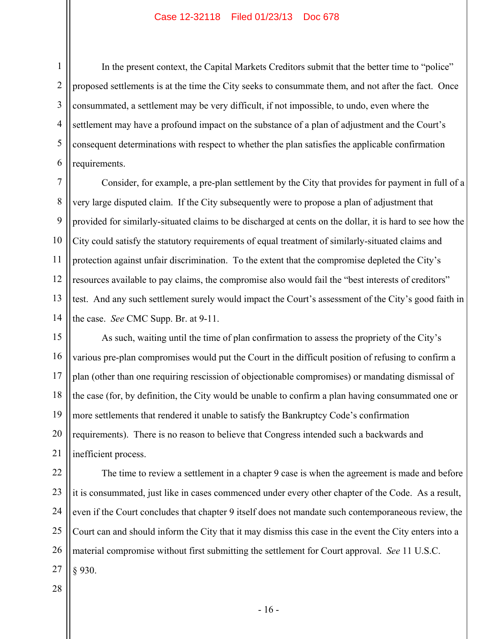1 2 3 4 5 6 In the present context, the Capital Markets Creditors submit that the better time to "police" proposed settlements is at the time the City seeks to consummate them, and not after the fact. Once consummated, a settlement may be very difficult, if not impossible, to undo, even where the settlement may have a profound impact on the substance of a plan of adjustment and the Court's consequent determinations with respect to whether the plan satisfies the applicable confirmation requirements.

7 8 9 10 11 12 13 14 Consider, for example, a pre-plan settlement by the City that provides for payment in full of a very large disputed claim. If the City subsequently were to propose a plan of adjustment that provided for similarly-situated claims to be discharged at cents on the dollar, it is hard to see how the City could satisfy the statutory requirements of equal treatment of similarly-situated claims and protection against unfair discrimination. To the extent that the compromise depleted the City's resources available to pay claims, the compromise also would fail the "best interests of creditors" test. And any such settlement surely would impact the Court's assessment of the City's good faith in the case. *See* CMC Supp. Br. at 9-11.

15 16 17 18 19 20 21 As such, waiting until the time of plan confirmation to assess the propriety of the City's various pre-plan compromises would put the Court in the difficult position of refusing to confirm a plan (other than one requiring rescission of objectionable compromises) or mandating dismissal of the case (for, by definition, the City would be unable to confirm a plan having consummated one or more settlements that rendered it unable to satisfy the Bankruptcy Code's confirmation requirements). There is no reason to believe that Congress intended such a backwards and inefficient process.

22 23 24 25 26 27 The time to review a settlement in a chapter 9 case is when the agreement is made and before it is consummated, just like in cases commenced under every other chapter of the Code. As a result, even if the Court concludes that chapter 9 itself does not mandate such contemporaneous review, the Court can and should inform the City that it may dismiss this case in the event the City enters into a material compromise without first submitting the settlement for Court approval. *See* 11 U.S.C. § 930.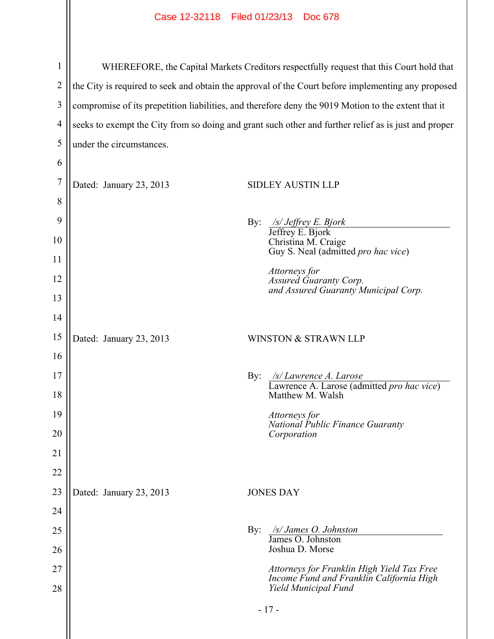| 1              | WHEREFORE, the Capital Markets Creditors respectfully request that this Court hold that              |     |                                                                                        |  |  |
|----------------|------------------------------------------------------------------------------------------------------|-----|----------------------------------------------------------------------------------------|--|--|
| $\overline{2}$ | the City is required to seek and obtain the approval of the Court before implementing any proposed   |     |                                                                                        |  |  |
| 3              | compromise of its prepetition liabilities, and therefore deny the 9019 Motion to the extent that it  |     |                                                                                        |  |  |
| $\overline{4}$ | seeks to exempt the City from so doing and grant such other and further relief as is just and proper |     |                                                                                        |  |  |
| 5              | under the circumstances.                                                                             |     |                                                                                        |  |  |
| 6              |                                                                                                      |     |                                                                                        |  |  |
| $\overline{7}$ | Dated: January 23, 2013                                                                              |     | <b>SIDLEY AUSTIN LLP</b>                                                               |  |  |
| 8              |                                                                                                      |     |                                                                                        |  |  |
| 9              |                                                                                                      | By: | /s/ Jeffrey E. Bjork                                                                   |  |  |
| 10             |                                                                                                      |     | Jeffrey E. Bjork<br>Christina M. Craige                                                |  |  |
| 11             |                                                                                                      |     | Guy S. Neal (admitted pro hac vice)                                                    |  |  |
| 12             |                                                                                                      |     | Attorneys for<br>Assured Guaranty Corp.<br>and Assured Guaranty Municipal Corp.        |  |  |
| 13             |                                                                                                      |     |                                                                                        |  |  |
| 14             |                                                                                                      |     |                                                                                        |  |  |
| 15             | Dated: January 23, 2013                                                                              |     | WINSTON & STRAWN LLP                                                                   |  |  |
| 16             |                                                                                                      |     |                                                                                        |  |  |
| 17             |                                                                                                      | By: | /s/ Lawrence A. Larose<br>Lawrence A. Larose (admitted pro hac vice)                   |  |  |
| 18             |                                                                                                      |     | Matthew M. Walsh                                                                       |  |  |
| 19             |                                                                                                      |     | Attorneys for<br>National Public Finance Guaranty                                      |  |  |
| 20             |                                                                                                      |     | Corporation                                                                            |  |  |
| 21             |                                                                                                      |     |                                                                                        |  |  |
| 22             |                                                                                                      |     |                                                                                        |  |  |
| 23             | Dated: January 23, 2013                                                                              |     | <b>JONES DAY</b>                                                                       |  |  |
| 24             |                                                                                                      |     |                                                                                        |  |  |
| 25             |                                                                                                      | By: | $\sqrt{s}/J$ ames O. Johnston<br>James O. Johnston                                     |  |  |
| 26             |                                                                                                      |     | Joshua D. Morse                                                                        |  |  |
| 27             |                                                                                                      |     | Attorneys for Franklin High Yield Tax Free<br>Income Fund and Franklin California High |  |  |
| 28             |                                                                                                      |     | Yield Municipal Fund                                                                   |  |  |
|                |                                                                                                      |     | $-17-$                                                                                 |  |  |
|                |                                                                                                      |     |                                                                                        |  |  |